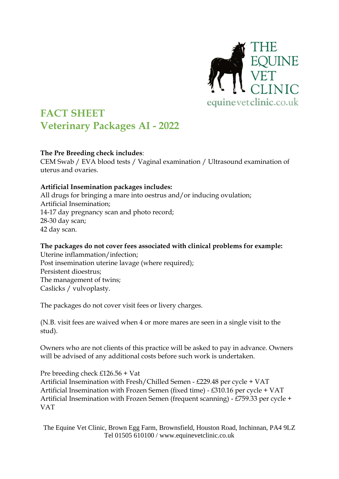

## **FACT SHEET Veterinary Packages AI - 2022**

## **The Pre Breeding check includes**:

CEM Swab / EVA blood tests / Vaginal examination / Ultrasound examination of uterus and ovaries.

## **Artificial Insemination packages includes:**

All drugs for bringing a mare into oestrus and/or inducing ovulation; Artificial Insemination; 14-17 day pregnancy scan and photo record; 28-30 day scan; 42 day scan.

## **The packages do not cover fees associated with clinical problems for example:**

Uterine inflammation/infection; Post insemination uterine lavage (where required); Persistent dioestrus; The management of twins; Caslicks / vulvoplasty.

The packages do not cover visit fees or livery charges.

(N.B. visit fees are waived when 4 or more mares are seen in a single visit to the stud).

Owners who are not clients of this practice will be asked to pay in advance. Owners will be advised of any additional costs before such work is undertaken.

Pre breeding check £126.56 + Vat Artificial Insemination with Fresh/Chilled Semen - £229.48 per cycle + VAT Artificial Insemination with Frozen Semen (fixed time) - £310.16 per cycle + VAT Artificial Insemination with Frozen Semen (frequent scanning) - £759.33 per cycle + VAT

The Equine Vet Clinic, Brown Egg Farm, Brownsfield, Houston Road, Inchinnan, PA4 9LZ Tel 01505 610100 / www.equinevetclinic.co.uk